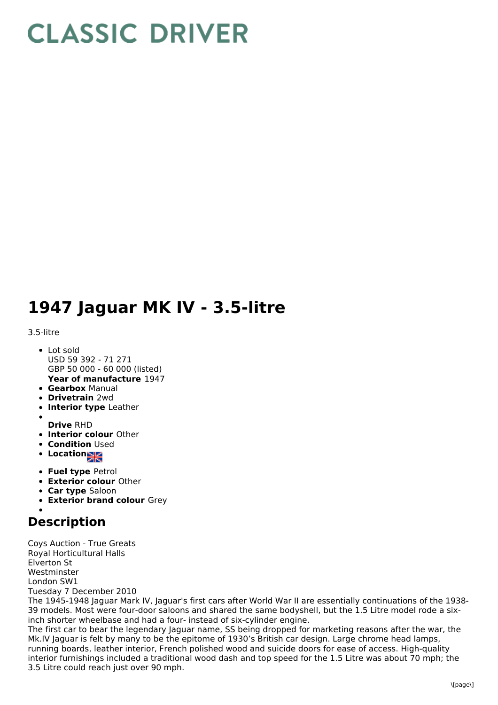## **CLASSIC DRIVER**

## **1947 Jaguar MK IV - 3.5-litre**

3.5-litre

- **Year of manufacture** 1947 Lot sold USD 59 392 - 71 271 GBP 50 000 - 60 000 (listed)
- **Gearbox** Manual
- **Drivetrain** 2wd
- **Interior type** Leather
- 
- **Drive** RHD
- **Interior colour** Other
- **Condition Used**
- Location
- **Fuel type** Petrol
- **Exterior colour** Other
- **Car type** Saloon
- **Exterior brand colour** Grey
- 

## **Description**

Coys Auction - True Greats Royal Horticultural Halls Elverton St Westminster London SW1 Tuesday 7 December 2010 The 1945-1948 Jaguar Mark IV, Jaguar's first cars after World War II are essentially continuations of the 1938- 39 models. Most were four-door saloons and shared the same bodyshell, but the 1.5 Litre model rode a sixinch shorter wheelbase and had a four- instead of six-cylinder engine. The first car to bear the legendary Jaguar name, SS being dropped for marketing reasons after the war, the Mk.IV Jaguar is felt by many to be the epitome of 1930's British car design. Large chrome head lamps, running boards, leather interior, French polished wood and suicide doors for ease of access. High-quality interior furnishings included a traditional wood dash and top speed for the 1.5 Litre was about 70 mph; the 3.5 Litre could reach just over 90 mph.